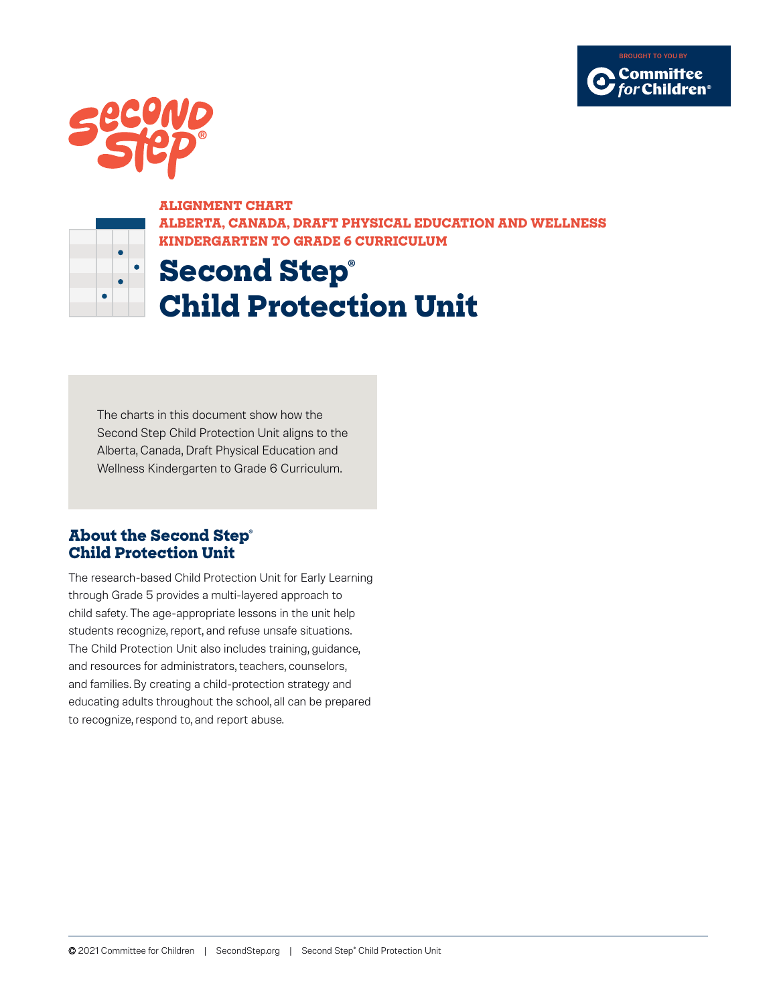



 $\bullet$  $\bullet$ 

## **ALIGNMENT CHART**

**ALBERTA, CANADA, DRAFT PHYSICAL EDUCATION AND WELLNESS KINDERGARTEN TO GRADE 6 CURRICULUM**

## **Second Step®**

**Child Protection Unit**

The charts in this document show how the Second Step Child Protection Unit aligns to the Alberta, Canada, Draft Physical Education and Wellness Kindergarten to Grade 6 Curriculum.

## **About the Second Step® Child Protection Unit**

The research-based Child Protection Unit for Early Learning through Grade 5 provides a multi-layered approach to child safety. The age-appropriate lessons in the unit help students recognize, report, and refuse unsafe situations. The Child Protection Unit also includes training, guidance, and resources for administrators, teachers, counselors, and families. By creating a child-protection strategy and educating adults throughout the school, all can be prepared to recognize, respond to, and report abuse.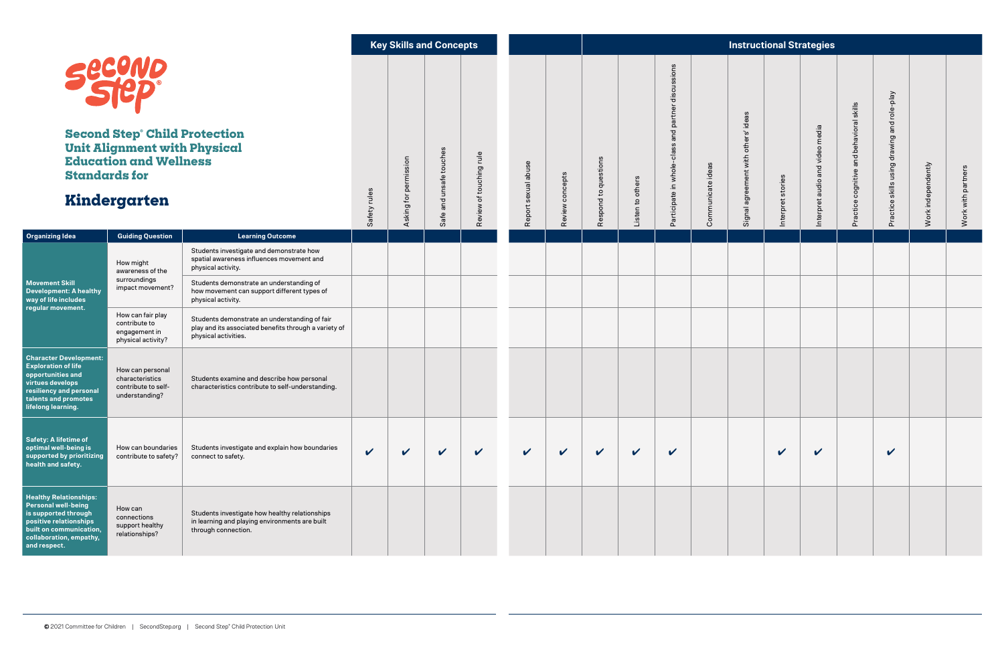|                                                                                                                                                                                     |                                                                              |                                                                                                                                | <b>Key Skills and Concepts</b> |                            |                         | <b>Instructional Strategies</b>              |                          |                 |                                            |                     |                                                          |                   |                                                  |                   |                                 |                                                                                                             |                                             |                    |                    |
|-------------------------------------------------------------------------------------------------------------------------------------------------------------------------------------|------------------------------------------------------------------------------|--------------------------------------------------------------------------------------------------------------------------------|--------------------------------|----------------------------|-------------------------|----------------------------------------------|--------------------------|-----------------|--------------------------------------------|---------------------|----------------------------------------------------------|-------------------|--------------------------------------------------|-------------------|---------------------------------|-------------------------------------------------------------------------------------------------------------|---------------------------------------------|--------------------|--------------------|
| <b>Secono</b><br><b>Second Step Child Protection</b><br><b>Unit Alignment with Physical</b><br><b>Education and Wellness</b><br><b>Standards for</b><br>Kindergarten                |                                                                              |                                                                                                                                | rules<br>Safety                | permission<br>Asking for   | Safe and unsafe touches | rule <sub>1</sub><br>touching<br>৳<br>Review | sexual abuse<br>Report : | Review concepts | stions<br>que<br>$\mathbf{c}$<br>pond<br>æ | others<br>Listen to | discussions<br>and partner<br>Participate in whole-class | Communicate ideas | ideas<br>others'<br>with<br>agreement<br>Signal? | Interpret stories | Interpret audio and video media | skills<br>$\overline{\mathfrak{a}}$<br>avior<br>beh<br>and<br>ognitive<br>$\circ$<br>$\omega$<br>ctic<br>تم | Practice skills using drawing and role-play | Work independently | Work with partners |
| <b>Organizing Idea</b>                                                                                                                                                              | <b>Guiding Question</b>                                                      | <b>Learning Outcome</b>                                                                                                        |                                |                            |                         |                                              |                          |                 |                                            |                     |                                                          |                   |                                                  |                   |                                 |                                                                                                             |                                             |                    |                    |
| <b>Movement Skill</b><br><b>Development: A healthy</b><br>way of life includes<br>regular movement.                                                                                 | How might<br>awareness of the<br>surroundings<br>impact movement?            | Students investigate and demonstrate how<br>spatial awareness influences movement and<br>physical activity.                    |                                |                            |                         |                                              |                          |                 |                                            |                     |                                                          |                   |                                                  |                   |                                 |                                                                                                             |                                             |                    |                    |
|                                                                                                                                                                                     |                                                                              | Students demonstrate an understanding of<br>how movement can support different types of<br>physical activity.                  |                                |                            |                         |                                              |                          |                 |                                            |                     |                                                          |                   |                                                  |                   |                                 |                                                                                                             |                                             |                    |                    |
|                                                                                                                                                                                     | How can fair play<br>contribute to<br>engagement in<br>physical activity?    | Students demonstrate an understanding of fair<br>play and its associated benefits through a variety of<br>physical activities. |                                |                            |                         |                                              |                          |                 |                                            |                     |                                                          |                   |                                                  |                   |                                 |                                                                                                             |                                             |                    |                    |
| <b>Character Development:</b><br><b>Exploration of life</b><br>opportunities and<br>virtues develops<br>resiliency and personal<br>talents and promotes<br>lifelong learning.       | How can personal<br>characteristics<br>contribute to self-<br>understanding? | Students examine and describe how personal<br>characteristics contribute to self-understanding.                                |                                |                            |                         |                                              |                          |                 |                                            |                     |                                                          |                   |                                                  |                   |                                 |                                                                                                             |                                             |                    |                    |
| Safety: A lifetime of<br>optimal well-being is<br>supported by prioritizing<br>health and safety.                                                                                   | How can boundaries<br>contribute to safety?                                  | Students investigate and explain how boundaries<br>connect to safety.                                                          | $\checkmark$                   | $\boldsymbol{\mathcal{U}}$ | $\checkmark$            | $\checkmark$                                 | $\checkmark$             | $\checkmark$    | $\checkmark$                               | $\checkmark$        | $\checkmark$                                             |                   |                                                  | $\mathbf v$       | $\checkmark$                    |                                                                                                             | $\checkmark$                                |                    |                    |
| <b>Healthy Relationships:</b><br><b>Personal well-being</b><br>is supported through<br>positive relationships<br>built on communication,<br>collaboration, empathy,<br>and respect. | How can<br>connections<br>support healthy<br>relationships?                  | Students investigate how healthy relationships<br>in learning and playing environments are built<br>through connection.        |                                |                            |                         |                                              |                          |                 |                                            |                     |                                                          |                   |                                                  |                   |                                 |                                                                                                             |                                             |                    |                    |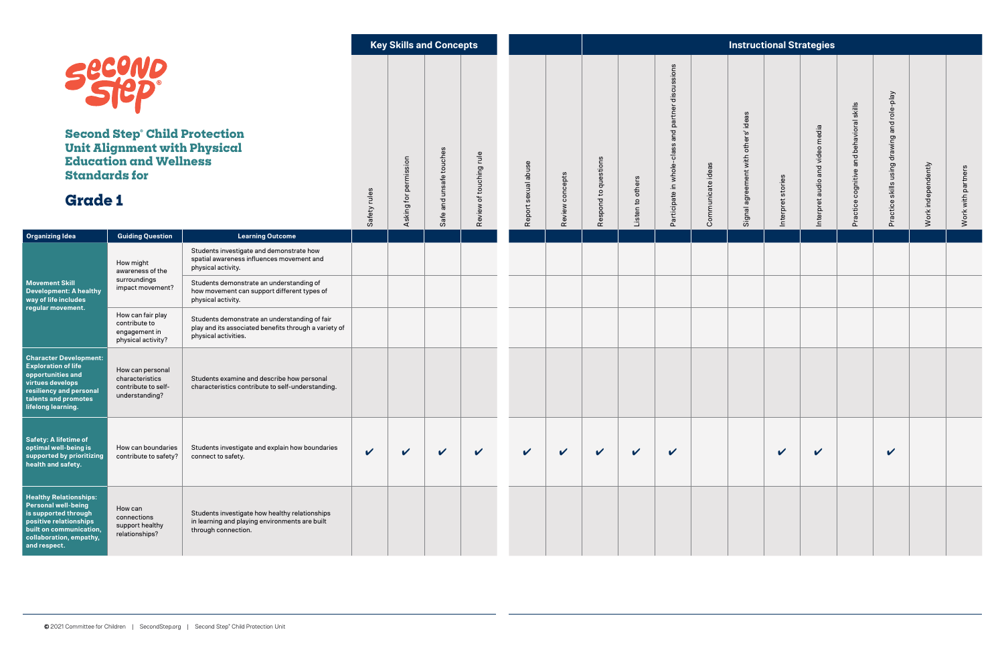|                                                                                                                                                                                     |                                                                              |                                                                                                                                | <b>Key Skills and Concepts</b> |                            |                             | <b>Instructional Strategies</b>            |                         |                 |                                            |                     |                                                          |                   |                                                 |                       |                                    |                                                                                           |                                                |                    |                    |
|-------------------------------------------------------------------------------------------------------------------------------------------------------------------------------------|------------------------------------------------------------------------------|--------------------------------------------------------------------------------------------------------------------------------|--------------------------------|----------------------------|-----------------------------|--------------------------------------------|-------------------------|-----------------|--------------------------------------------|---------------------|----------------------------------------------------------|-------------------|-------------------------------------------------|-----------------------|------------------------------------|-------------------------------------------------------------------------------------------|------------------------------------------------|--------------------|--------------------|
| <b>Secono</b><br><b>Second Step Child Protection</b><br><b>Unit Alignment with Physical</b><br><b>Education and Wellness</b><br><b>Standards for</b><br><b>Grade 1</b>              |                                                                              |                                                                                                                                | rules<br>Safety                | permission<br>Asking for   | and unsafe touches<br>Safe: | rule <sub>1</sub><br>touching<br>৳<br>Revi | sexual abuse<br>Report: | Review concepts | stions<br>que<br>$\mathbf{c}$<br>pond<br>æ | others<br>Listen to | discussions<br>and partner<br>Participate in whole-class | Communicate ideas | ideas<br>others'<br>with<br>agreement<br>Signal | pret stories<br>Inter | audio and video media<br>Interpret | skills<br>$\overline{\mathfrak{a}}$<br>avior<br>beh<br>and<br>ognitive<br>$\ddot{c}$<br>ݢ | skills using drawing and role-play<br>Practice | Work independently | Work with partners |
| <b>Organizing Idea</b>                                                                                                                                                              | <b>Guiding Question</b>                                                      | <b>Learning Outcome</b>                                                                                                        |                                |                            |                             |                                            |                         |                 |                                            |                     |                                                          |                   |                                                 |                       |                                    |                                                                                           |                                                |                    |                    |
| <b>Movement Skill</b><br><b>Development: A healthy</b><br>way of life includes<br>regular movement.                                                                                 | How might<br>awareness of the<br>surroundings<br>impact movement?            | Students investigate and demonstrate how<br>spatial awareness influences movement and<br>physical activity.                    |                                |                            |                             |                                            |                         |                 |                                            |                     |                                                          |                   |                                                 |                       |                                    |                                                                                           |                                                |                    |                    |
|                                                                                                                                                                                     |                                                                              | Students demonstrate an understanding of<br>how movement can support different types of<br>physical activity.                  |                                |                            |                             |                                            |                         |                 |                                            |                     |                                                          |                   |                                                 |                       |                                    |                                                                                           |                                                |                    |                    |
|                                                                                                                                                                                     | How can fair play<br>contribute to<br>engagement in<br>physical activity?    | Students demonstrate an understanding of fair<br>play and its associated benefits through a variety of<br>physical activities. |                                |                            |                             |                                            |                         |                 |                                            |                     |                                                          |                   |                                                 |                       |                                    |                                                                                           |                                                |                    |                    |
| <b>Character Development:</b><br><b>Exploration of life</b><br>opportunities and<br>virtues develops<br>resiliency and personal<br>talents and promotes<br>lifelong learning.       | How can personal<br>characteristics<br>contribute to self-<br>understanding? | Students examine and describe how personal<br>characteristics contribute to self-understanding.                                |                                |                            |                             |                                            |                         |                 |                                            |                     |                                                          |                   |                                                 |                       |                                    |                                                                                           |                                                |                    |                    |
| Safety: A lifetime of<br>optimal well-being is<br>supported by prioritizing<br>health and safety.                                                                                   | How can boundaries<br>contribute to safety?                                  | Students investigate and explain how boundaries<br>connect to safety.                                                          | $\checkmark$                   | $\boldsymbol{\mathcal{U}}$ | $\checkmark$                | $\checkmark$                               | $\checkmark$            | $\checkmark$    | $\checkmark$                               | $\checkmark$        | $\checkmark$                                             |                   |                                                 | $\mathbf v$           | $\checkmark$                       |                                                                                           | $\checkmark$                                   |                    |                    |
| <b>Healthy Relationships:</b><br><b>Personal well-being</b><br>is supported through<br>positive relationships<br>built on communication,<br>collaboration, empathy,<br>and respect. | How can<br>connections<br>support healthy<br>relationships?                  | Students investigate how healthy relationships<br>in learning and playing environments are built<br>through connection.        |                                |                            |                             |                                            |                         |                 |                                            |                     |                                                          |                   |                                                 |                       |                                    |                                                                                           |                                                |                    |                    |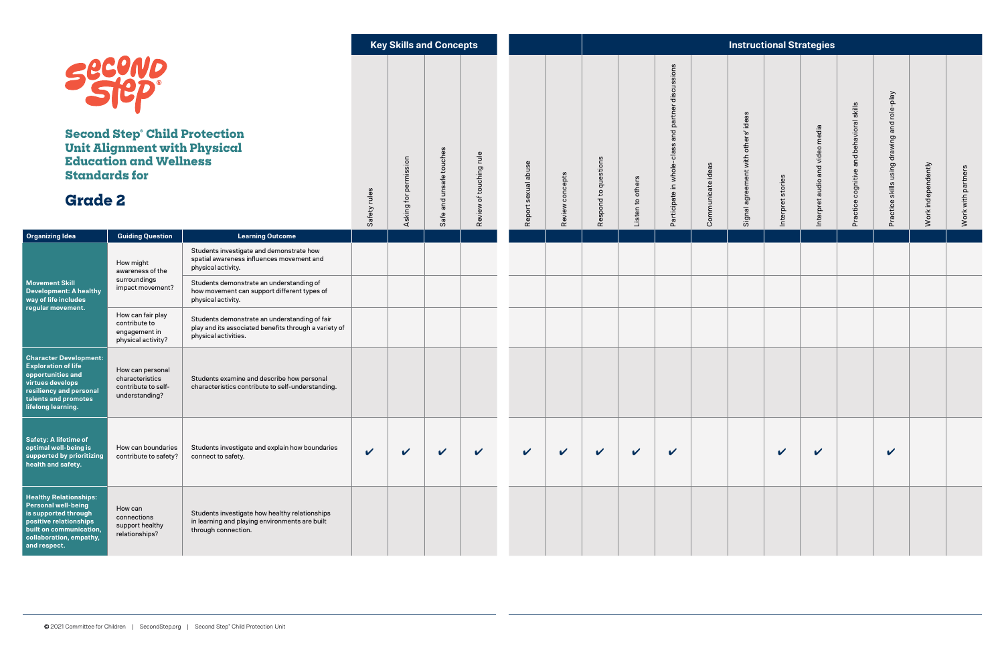|                                                                                                                                                                                     |                                                                              |                                                                                                                                | <b>Key Skills and Concepts</b> |                            |                             | <b>Instructional Strategies</b>            |                         |                 |                                            |                     |                                                          |                   |                                                 |                       |                                    |                                                                                            |                                                |                    |                    |
|-------------------------------------------------------------------------------------------------------------------------------------------------------------------------------------|------------------------------------------------------------------------------|--------------------------------------------------------------------------------------------------------------------------------|--------------------------------|----------------------------|-----------------------------|--------------------------------------------|-------------------------|-----------------|--------------------------------------------|---------------------|----------------------------------------------------------|-------------------|-------------------------------------------------|-----------------------|------------------------------------|--------------------------------------------------------------------------------------------|------------------------------------------------|--------------------|--------------------|
| <b>Secono</b><br><b>Second Step Child Protection</b><br><b>Unit Alignment with Physical</b><br><b>Education and Wellness</b><br><b>Standards for</b><br><b>Grade 2</b>              |                                                                              |                                                                                                                                | rules<br>Safety                | permission<br>Asking for   | and unsafe touches<br>Safe: | rule <sub>1</sub><br>touching<br>৳<br>Revi | sexual abuse<br>Report: | Review concepts | stions<br>que<br>$\mathbf{c}$<br>pond<br>æ | others<br>Listen to | discussions<br>and partner<br>Participate in whole-class | Communicate ideas | ideas<br>others'<br>with<br>agreement<br>Signal | pret stories<br>Inter | audio and video media<br>Interpret | skills<br>$\overline{\mathfrak{a}}$<br>avior<br>hed<br>and<br>ognitive<br>$\ddot{c}$<br>تم | skills using drawing and role-play<br>Practice | Work independently | Work with partners |
| <b>Organizing Idea</b>                                                                                                                                                              | <b>Guiding Question</b>                                                      | <b>Learning Outcome</b>                                                                                                        |                                |                            |                             |                                            |                         |                 |                                            |                     |                                                          |                   |                                                 |                       |                                    |                                                                                            |                                                |                    |                    |
| <b>Movement Skill</b><br><b>Development: A healthy</b><br>way of life includes<br>regular movement.                                                                                 | How might<br>awareness of the<br>surroundings<br>impact movement?            | Students investigate and demonstrate how<br>spatial awareness influences movement and<br>physical activity.                    |                                |                            |                             |                                            |                         |                 |                                            |                     |                                                          |                   |                                                 |                       |                                    |                                                                                            |                                                |                    |                    |
|                                                                                                                                                                                     |                                                                              | Students demonstrate an understanding of<br>how movement can support different types of<br>physical activity.                  |                                |                            |                             |                                            |                         |                 |                                            |                     |                                                          |                   |                                                 |                       |                                    |                                                                                            |                                                |                    |                    |
|                                                                                                                                                                                     | How can fair play<br>contribute to<br>engagement in<br>physical activity?    | Students demonstrate an understanding of fair<br>play and its associated benefits through a variety of<br>physical activities. |                                |                            |                             |                                            |                         |                 |                                            |                     |                                                          |                   |                                                 |                       |                                    |                                                                                            |                                                |                    |                    |
| <b>Character Development:</b><br><b>Exploration of life</b><br>opportunities and<br>virtues develops<br>resiliency and personal<br>talents and promotes<br>lifelong learning.       | How can personal<br>characteristics<br>contribute to self-<br>understanding? | Students examine and describe how personal<br>characteristics contribute to self-understanding.                                |                                |                            |                             |                                            |                         |                 |                                            |                     |                                                          |                   |                                                 |                       |                                    |                                                                                            |                                                |                    |                    |
| Safety: A lifetime of<br>optimal well-being is<br>supported by prioritizing<br>health and safety.                                                                                   | How can boundaries<br>contribute to safety?                                  | Students investigate and explain how boundaries<br>connect to safety.                                                          | $\checkmark$                   | $\boldsymbol{\mathcal{U}}$ | $\checkmark$                | $\checkmark$                               | $\checkmark$            | $\checkmark$    | $\checkmark$                               | $\checkmark$        | $\checkmark$                                             |                   |                                                 | $\mathbf v$           | $\checkmark$                       |                                                                                            | $\checkmark$                                   |                    |                    |
| <b>Healthy Relationships:</b><br><b>Personal well-being</b><br>is supported through<br>positive relationships<br>built on communication,<br>collaboration, empathy,<br>and respect. | How can<br>connections<br>support healthy<br>relationships?                  | Students investigate how healthy relationships<br>in learning and playing environments are built<br>through connection.        |                                |                            |                             |                                            |                         |                 |                                            |                     |                                                          |                   |                                                 |                       |                                    |                                                                                            |                                                |                    |                    |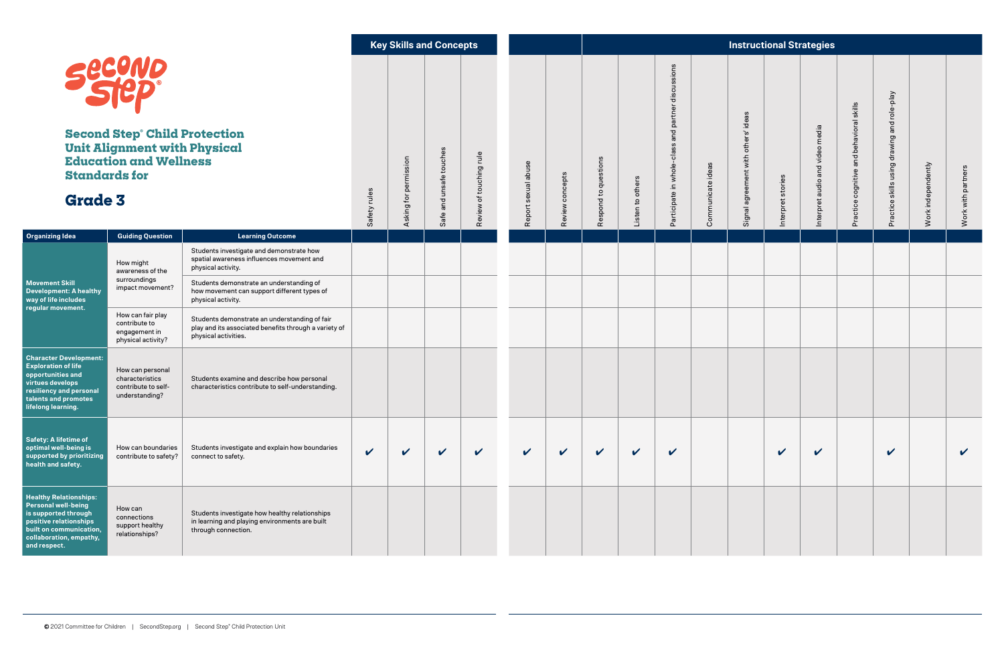|                                                                                                                                                                                     |                                                                              |                                                                                                                                                         |                 | <b>Key Skills and Concepts</b> |                              | <b>Instructional Strategies</b>          |                          |                 |                                          |                        |                                                          |                      |                                              |                            |                                    |                                                                                                    |                                                |                    |                    |
|-------------------------------------------------------------------------------------------------------------------------------------------------------------------------------------|------------------------------------------------------------------------------|---------------------------------------------------------------------------------------------------------------------------------------------------------|-----------------|--------------------------------|------------------------------|------------------------------------------|--------------------------|-----------------|------------------------------------------|------------------------|----------------------------------------------------------|----------------------|----------------------------------------------|----------------------------|------------------------------------|----------------------------------------------------------------------------------------------------|------------------------------------------------|--------------------|--------------------|
| <b>SECOND</b><br><b>Second Step Child Protection</b><br><b>Unit Alignment with Physical</b><br><b>Education and Wellness</b><br><b>Standards for</b><br><b>Grade 3</b>              |                                                                              |                                                                                                                                                         | rules<br>Safety | permission<br>Asking for       | and unsafe touches<br>Safe i | $\frac{1}{2}$<br>touching<br>৳<br>Review | sexual abuse<br>Report : | Review concepts | stions<br>que<br>م,<br>spond<br><b>e</b> | _ ဟ<br>Listen to other | discussions<br>and partner<br>Participate in whole-class | ideas<br>Communicate | ideas<br>with others'<br>agreement<br>Signal | et stories<br>Interpre     | audio and video media<br>Interpret | skills<br>$\overline{\mathfrak{a}}$<br>behavior<br>and<br>$\mathbf \Phi$<br>cognitive<br>tice<br>ݢ | and role-play<br>Practice skills using drawing | Work independently | Work with partners |
| <b>Organizing Idea</b>                                                                                                                                                              | <b>Guiding Question</b>                                                      | <b>Learning Outcome</b>                                                                                                                                 |                 |                                |                              |                                          |                          |                 |                                          |                        |                                                          |                      |                                              |                            |                                    |                                                                                                    |                                                |                    |                    |
| <b>Movement Skill</b><br><b>Development: A healthy</b><br>way of life includes<br>regular movement.                                                                                 | How might<br>awareness of the<br>surroundings<br>impact movement?            | Students investigate and demonstrate how<br>spatial awareness influences movement and<br>physical activity.<br>Students demonstrate an understanding of |                 |                                |                              |                                          |                          |                 |                                          |                        |                                                          |                      |                                              |                            |                                    |                                                                                                    |                                                |                    |                    |
|                                                                                                                                                                                     |                                                                              | how movement can support different types of<br>physical activity.                                                                                       |                 |                                |                              |                                          |                          |                 |                                          |                        |                                                          |                      |                                              |                            |                                    |                                                                                                    |                                                |                    |                    |
|                                                                                                                                                                                     | How can fair play<br>contribute to<br>engagement in<br>physical activity?    | Students demonstrate an understanding of fair<br>play and its associated benefits through a variety of<br>physical activities.                          |                 |                                |                              |                                          |                          |                 |                                          |                        |                                                          |                      |                                              |                            |                                    |                                                                                                    |                                                |                    |                    |
| <b>Character Development:</b><br><b>Exploration of life</b><br>opportunities and<br>virtues develops<br>resiliency and personal<br>talents and promotes<br>lifelong learning.       | How can personal<br>characteristics<br>contribute to self-<br>understanding? | Students examine and describe how personal<br>characteristics contribute to self-understanding.                                                         |                 |                                |                              |                                          |                          |                 |                                          |                        |                                                          |                      |                                              |                            |                                    |                                                                                                    |                                                |                    |                    |
| Safety: A lifetime of<br>optimal well-being is<br>supported by prioritizing<br>health and safety.                                                                                   | How can boundaries<br>contribute to safety?                                  | Students investigate and explain how boundaries<br>connect to safety.                                                                                   | $\checkmark$    | $\boldsymbol{\mathcal{U}}$     | $\checkmark$                 | $\checkmark$                             | $\checkmark$             | $\checkmark$    | $\checkmark$                             | $\checkmark$           | $\checkmark$                                             |                      |                                              | $\boldsymbol{\mathcal{U}}$ | $\checkmark$                       |                                                                                                    | V                                              |                    | $\checkmark$       |
| <b>Healthy Relationships:</b><br><b>Personal well-being</b><br>is supported through<br>positive relationships<br>built on communication,<br>collaboration, empathy,<br>and respect. | How can<br>connections<br>support healthy<br>relationships?                  | Students investigate how healthy relationships<br>in learning and playing environments are built<br>through connection.                                 |                 |                                |                              |                                          |                          |                 |                                          |                        |                                                          |                      |                                              |                            |                                    |                                                                                                    |                                                |                    |                    |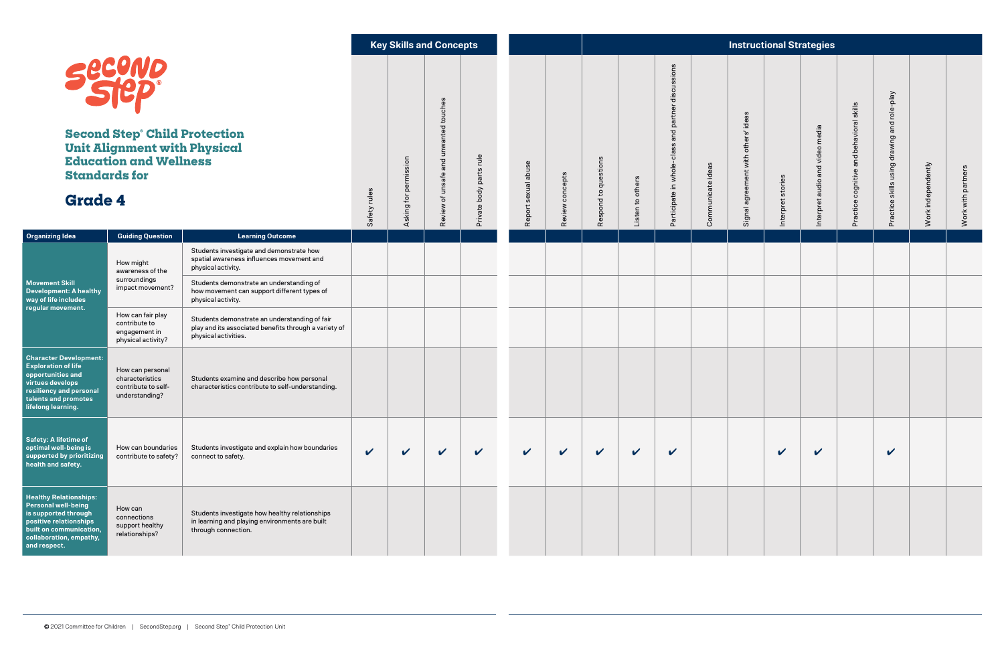|                                                                                                                                                                                     |                                                                              |                                                                                                                                | <b>Key Skills and Concepts</b> |                                          |                                  | <b>Instructional Strategies</b> |                 |                                                      |                     |                                                          |                   |                                                 |                       |                                    |                                                                                    |                                                |                    |                    |  |
|-------------------------------------------------------------------------------------------------------------------------------------------------------------------------------------|------------------------------------------------------------------------------|--------------------------------------------------------------------------------------------------------------------------------|--------------------------------|------------------------------------------|----------------------------------|---------------------------------|-----------------|------------------------------------------------------|---------------------|----------------------------------------------------------|-------------------|-------------------------------------------------|-----------------------|------------------------------------|------------------------------------------------------------------------------------|------------------------------------------------|--------------------|--------------------|--|
| <b>Secono</b><br><b>Second Step Child Protection</b><br><b>Unit Alignment with Physical</b><br><b>Education and Wellness</b><br><b>Standards for</b><br><b>Grade 4</b>              |                                                                              | rules<br>Safety                                                                                                                | permission<br>Asking for       | and unwanted touches<br>Review of unsafe | rule<br>parts<br>body<br>Private | sexual abuse<br>Report          | Review concepts | stions<br>que<br>$\mathbf{c}$<br>$\overline{C}$<br>æ | others<br>Listen to | discussions<br>and partner<br>Participate in whole-class | Communicate ideas | ideas<br>others'<br>with<br>agreement<br>Signal | pret stories<br>Inter | audio and video media<br>Interpret | skills<br>$\overline{\mathfrak{a}}$<br>avior<br>hed<br>and<br>ognitive<br>tic<br>ݢ | skills using drawing and role-play<br>Practice | Work independently | Work with partners |  |
| <b>Organizing Idea</b>                                                                                                                                                              | <b>Guiding Question</b>                                                      | <b>Learning Outcome</b>                                                                                                        |                                |                                          |                                  |                                 |                 |                                                      |                     |                                                          |                   |                                                 |                       |                                    |                                                                                    |                                                |                    |                    |  |
| <b>Movement Skill</b><br><b>Development: A healthy</b><br>way of life includes<br>regular movement.                                                                                 | How might<br>awareness of the<br>surroundings<br>impact movement?            | Students investigate and demonstrate how<br>spatial awareness influences movement and<br>physical activity.                    |                                |                                          |                                  |                                 |                 |                                                      |                     |                                                          |                   |                                                 |                       |                                    |                                                                                    |                                                |                    |                    |  |
|                                                                                                                                                                                     |                                                                              | Students demonstrate an understanding of<br>how movement can support different types of<br>physical activity.                  |                                |                                          |                                  |                                 |                 |                                                      |                     |                                                          |                   |                                                 |                       |                                    |                                                                                    |                                                |                    |                    |  |
|                                                                                                                                                                                     | How can fair play<br>contribute to<br>engagement in<br>physical activity?    | Students demonstrate an understanding of fair<br>play and its associated benefits through a variety of<br>physical activities. |                                |                                          |                                  |                                 |                 |                                                      |                     |                                                          |                   |                                                 |                       |                                    |                                                                                    |                                                |                    |                    |  |
| <b>Character Development:</b><br><b>Exploration of life</b><br>opportunities and<br>virtues develops<br>resiliency and personal<br>talents and promotes<br>lifelong learning.       | How can personal<br>characteristics<br>contribute to self-<br>understanding? | Students examine and describe how personal<br>characteristics contribute to self-understanding.                                |                                |                                          |                                  |                                 |                 |                                                      |                     |                                                          |                   |                                                 |                       |                                    |                                                                                    |                                                |                    |                    |  |
| Safety: A lifetime of<br>optimal well-being is<br>supported by prioritizing<br>health and safety.                                                                                   | How can boundaries<br>contribute to safety?                                  | Students investigate and explain how boundaries<br>connect to safety.                                                          | $\checkmark$                   | $\boldsymbol{\mathcal{U}}$               | $\checkmark$                     | $\checkmark$                    | $\checkmark$    | $\checkmark$                                         | $\checkmark$        | $\checkmark$                                             | $\checkmark$      |                                                 |                       | $\boldsymbol{\mathcal{U}}$         | $\checkmark$                                                                       |                                                | $\checkmark$       |                    |  |
| <b>Healthy Relationships:</b><br><b>Personal well-being</b><br>is supported through<br>positive relationships<br>built on communication,<br>collaboration, empathy,<br>and respect. | How can<br>connections<br>support healthy<br>relationships?                  | Students investigate how healthy relationships<br>in learning and playing environments are built<br>through connection.        |                                |                                          |                                  |                                 |                 |                                                      |                     |                                                          |                   |                                                 |                       |                                    |                                                                                    |                                                |                    |                    |  |